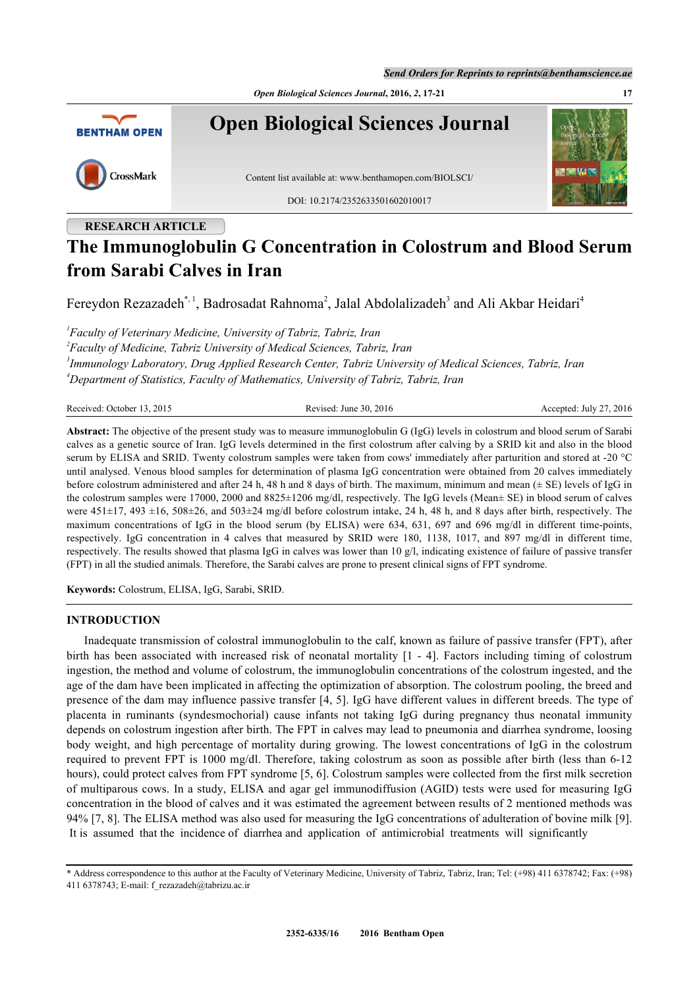*Send Orders for Reprints to reprints@benthamscience.ae*

*Open Biological Sciences Journal***, 2016,** *2***, 17-21 17**



# **RESEARCH ARTICLE**

# **The Immunoglobulin G Concentration in Colostrum and Blood Serum from Sarabi Calves in Iran**

Fereydon Rezazadeh[\\*](#page-0-0),<sup>[1](#page-0-1)</sup>, Badrosadat Rahnoma<sup>[2](#page-0-2)</sup>, Jalal Abdolalizadeh<sup>[3](#page-0-3)</sup> and Ali Akbar Heidari<sup>[4](#page--1-0)</sup>

<span id="page-0-1"></span>*1 Faculty of Veterinary Medicine, University of Tabriz, Tabriz, Iran*

<span id="page-0-2"></span>*2 Faculty of Medicine, Tabriz University of Medical Sciences, Tabriz, Iran*

<span id="page-0-3"></span>*3 Immunology Laboratory, Drug Applied Research Center, Tabriz University of Medical Sciences, Tabriz, Iran*

*<sup>4</sup>Department of Statistics, Faculty of Mathematics, University of Tabriz, Tabriz, Iran*

| Received:<br>2015<br>Jetober | 2016<br>lune<br>1011000<br>≺<br>77 C<br>$\sim$ | 201<br>ccepted<br>July<br><br>$-0.010$ |
|------------------------------|------------------------------------------------|----------------------------------------|
|                              |                                                |                                        |

**Abstract:** The objective of the present study was to measure immunoglobulin G (IgG) levels in colostrum and blood serum of Sarabi calves as a genetic source of Iran. IgG levels determined in the first colostrum after calving by a SRID kit and also in the blood serum by ELISA and SRID. Twenty colostrum samples were taken from cows' immediately after parturition and stored at -20 °C until analysed. Venous blood samples for determination of plasma IgG concentration were obtained from 20 calves immediately before colostrum administered and after 24 h, 48 h and 8 days of birth. The maximum, minimum and mean  $(\pm SE)$  levels of IgG in the colostrum samples were 17000, 2000 and 8825±1206 mg/dl, respectively. The IgG levels (Mean± SE) in blood serum of calves were  $451\pm17$ ,  $493\pm16$ ,  $508\pm26$ , and  $503\pm24$  mg/dl before colostrum intake, 24 h, 48 h, and 8 days after birth, respectively. The maximum concentrations of IgG in the blood serum (by ELISA) were 634, 631, 697 and 696 mg/dl in different time-points, respectively. IgG concentration in 4 calves that measured by SRID were 180, 1138, 1017, and 897 mg/dl in different time, respectively. The results showed that plasma IgG in calves was lower than 10 g/l, indicating existence of failure of passive transfer (FPT) in all the studied animals. Therefore, the Sarabi calves are prone to present clinical signs of FPT syndrome.

**Keywords:** Colostrum, ELISA, IgG, Sarabi, SRID.

# **INTRODUCTION**

Inadequate transmission of colostral immunoglobulin to the calf, known as failure of passive transfer (FPT), after birth has been associated with increased risk of neonatal mortality[[1](#page-3-0) - [4](#page-3-1)]. Factors including timing of colostrum ingestion, the method and volume of colostrum, the immunoglobulin concentrations of the colostrum ingested, and the age of the dam have been implicated in affecting the optimization of absorption. The colostrum pooling, the breed and presence of the dam may influence passive transfer [[4,](#page-3-1) [5](#page-3-2)]. IgG have different values in different breeds. The type of placenta in ruminants (syndesmochorial) cause infants not taking IgG during pregnancy thus neonatal immunity depends on colostrum ingestion after birth. The FPT in calves may lead to pneumonia and diarrhea syndrome, loosing body weight, and high percentage of mortality during growing. The lowest concentrations of IgG in the colostrum required to prevent FPT is 1000 mg/dl. Therefore, taking colostrum as soon as possible after birth (less than 6-12 hours), could protect calves from FPT syndrome [\[5](#page-3-2), [6\]](#page-3-3). Colostrum samples were collected from the first milk secretion of multiparous cows. In a study, ELISA and agar gel immunodiffusion (AGID) tests were used for measuring IgG concentration in the blood of calves and it was estimated the agreement between results of 2 mentioned methods was 94% [\[7](#page-3-4), [8](#page-3-5)]. The ELISA method was also used for measuring the IgG concentrations of adulteration of bovine milk [[9\]](#page-3-6). It is assumed that the incidence of diarrhea and application of antimicrobial treatments will significantly

<span id="page-0-0"></span><sup>\*</sup> Address correspondence to this author at the Faculty of Veterinary Medicine, University of Tabriz, Tabriz, Iran; Tel: (+98) 411 6378742; Fax: (+98) 411 6378743; E-mail: [f\\_rezazadeh@tabrizu.ac.ir](mailto:f_rezazadeh@tabrizu.ac.ir)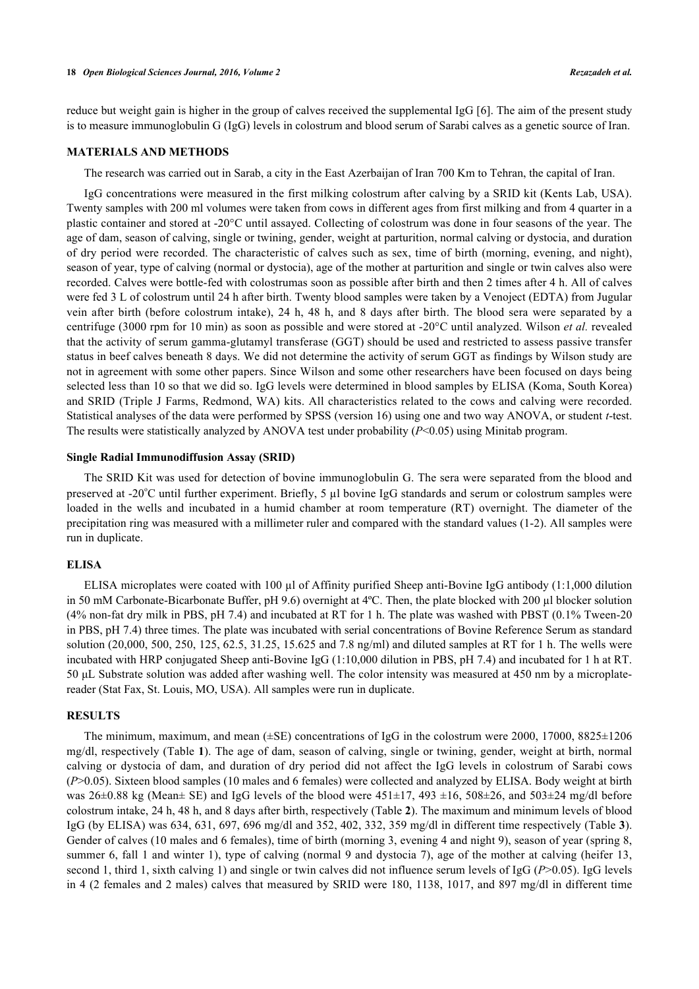### **18** *Open Biological Sciences Journal, 2016, Volume 2 Rezazadeh et al.*

reduce but weight gain is higher in the group of calves received the supplemental IgG [[6\]](#page-3-3). The aim of the present study is to measure immunoglobulin G (IgG) levels in colostrum and blood serum of Sarabi calves as a genetic source of Iran.

# **MATERIALS AND METHODS**

The research was carried out in Sarab, a city in the East Azerbaijan of Iran 700 Km to Tehran, the capital of Iran.

IgG concentrations were measured in the first milking colostrum after calving by a SRID kit (Kents Lab, USA). Twenty samples with 200 ml volumes were taken from cows in different ages from first milking and from 4 quarter in a plastic container and stored at -20°C until assayed. Collecting of colostrum was done in four seasons of the year. The age of dam, season of calving, single or twining, gender, weight at parturition, normal calving or dystocia, and duration of dry period were recorded. The characteristic of calves such as sex, time of birth (morning, evening, and night), season of year, type of calving (normal or dystocia), age of the mother at parturition and single or twin calves also were recorded. Calves were bottle-fed with colostrumas soon as possible after birth and then 2 times after 4 h. All of calves were fed 3 L of colostrum until 24 h after birth. Twenty blood samples were taken by a Venoject (EDTA) from Jugular vein after birth (before colostrum intake), 24 h, 48 h, and 8 days after birth. The blood sera were separated by a centrifuge (3000 rpm for 10 min) as soon as possible and were stored at -20°C until analyzed. Wilson *et al.* revealed that the activity of serum gamma-glutamyl transferase (GGT) should be used and restricted to assess passive transfer status in beef calves beneath 8 days. We did not determine the activity of serum GGT as findings by Wilson study are not in agreement with some other papers. Since Wilson and some other researchers have been focused on days being selected less than 10 so that we did so. IgG levels were determined in blood samples by ELISA (Koma, South Korea) and SRID (Triple J Farms, Redmond, WA) kits. All characteristics related to the cows and calving were recorded. Statistical analyses of the data were performed by SPSS (version 16) using one and two way ANOVA, or student *t*-test. The results were statistically analyzed by ANOVA test under probability (*P*<0.05) using Minitab program.

# **Single Radial Immunodiffusion Assay (SRID)**

The SRID Kit was used for detection of bovine immunoglobulin G. The sera were separated from the blood and preserved at -20 $^{\circ}$ C until further experiment. Briefly, 5 µl bovine IgG standards and serum or colostrum samples were loaded in the wells and incubated in a humid chamber at room temperature (RT) overnight. The diameter of the precipitation ring was measured with a millimeter ruler and compared with the standard values (1-2). All samples were run in duplicate.

# **ELISA**

ELISA microplates were coated with 100 µl of Affinity purified Sheep anti-Bovine IgG antibody (1:1,000 dilution in 50 mM Carbonate-Bicarbonate Buffer, pH 9.6) overnight at 4°C. Then, the plate blocked with 200 µl blocker solution (4% non-fat dry milk in PBS, pH 7.4) and incubated at RT for 1 h. The plate was washed with PBST (0.1% Tween-20 in PBS, pH 7.4) three times. The plate was incubated with serial concentrations of Bovine Reference Serum as standard solution (20,000, 500, 250, 125, 62.5, 31.25, 15.625 and 7.8 ng/ml) and diluted samples at RT for 1 h. The wells were incubated with HRP conjugated Sheep anti-Bovine IgG (1:10,000 dilution in PBS, pH 7.4) and incubated for 1 h at RT. 50 μL Substrate solution was added after washing well. The color intensity was measured at 450 nm by a microplatereader (Stat Fax, St. Louis, MO, USA). All samples were run in duplicate.

# **RESULTS**

The minimum, maximum, and mean (±SE) concentrations of IgG in the colostrum were 2000, 17000, 8825±1206 mg/dl, respectively (Table **[1](#page-2-0)**). The age of dam, season of calving, single or twining, gender, weight at birth, normal calving or dystocia of dam, and duration of dry period did not affect the IgG levels in colostrum of Sarabi cows (*P*>0.05). Sixteen blood samples (10 males and 6 females) were collected and analyzed by ELISA. Body weight at birth was  $26\pm0.88$  kg (Mean $\pm$  SE) and IgG levels of the blood were  $451\pm17$ ,  $493\pm16$ ,  $508\pm26$ , and  $503\pm24$  mg/dl before colostrum intake, 24 h, 48 h, and 8 days after birth, respectively (Table **[2](#page-2-1)**). The maximum and minimum levels of blood IgG (by ELISA) was 634, 631, 697, 696 mg/dl and 352, 402, 332, 359 mg/dl in different time respectively (Table **[3](#page-2-2)**). Gender of calves (10 males and 6 females), time of birth (morning 3, evening 4 and night 9), season of year (spring 8, summer 6, fall 1 and winter 1), type of calving (normal 9 and dystocia 7), age of the mother at calving (heifer 13, second 1, third 1, sixth calving 1) and single or twin calves did not influence serum levels of IgG (*P*>0.05). IgG levels in 4 (2 females and 2 males) calves that measured by SRID were 180, 1138, 1017, and 897 mg/dl in different time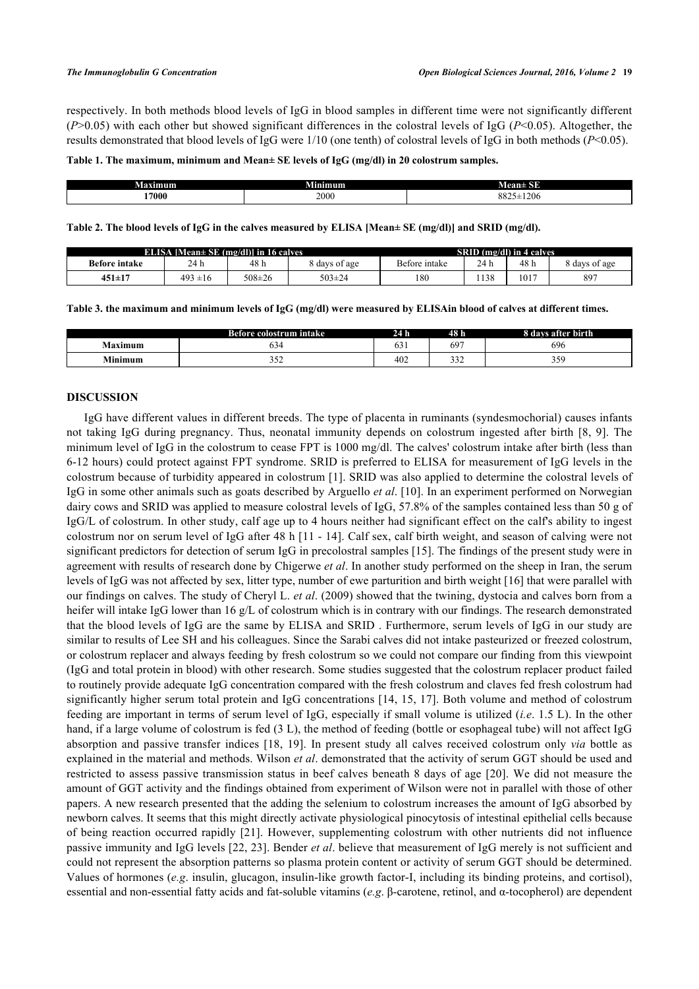respectively. In both methods blood levels of IgG in blood samples in different time were not significantly different (*P*>0.05) with each other but showed significant differences in the colostral levels of IgG (*P*<0.05). Altogether, the results demonstrated that blood levels of IgG were 1/10 (one tenth) of colostral levels of IgG in both methods (*P*<0.05).

# <span id="page-2-0"></span>**Table 1. The maximum, minimum and Mean± SE levels of IgG (mg/dl) in 20 colostrum samples.**

| wmum. | <b>Minimum</b> | $-1$<br>Меа                                                |
|-------|----------------|------------------------------------------------------------|
| 17000 | 2000           | 120.<br>ററെ മ<br>ააგა<br>L∠UU<br>- - - -<br>$- - -$<br>. . |

<span id="page-2-1"></span>**Table 2. The blood levels of IgG in the calves measured by ELISA [Mean± SE (mg/dl)] and SRID (mg/dl).**

| ELISA [Mean $\pm$ SE (mg/dl)] in 16 calves |              |              | SRID (mg/dl) in 4 calves |               |     |      |                           |
|--------------------------------------------|--------------|--------------|--------------------------|---------------|-----|------|---------------------------|
| <b>Before intake</b>                       | 24 h         | 48 h         | days of age              | Before intake | ∼   | 48 h | $\Omega$<br>8 days of age |
| $451 \pm 17$                               | $493 \pm 16$ | $508 \pm 26$ | $503 \pm 24$             | 180           | 138 | 1017 | 897                       |

<span id="page-2-2"></span>**Table 3. the maximum and minimum levels of IgG (mg/dl) were measured by ELISAin blood of calves at different times.**

|              | <b>Before colostrum intake</b> | 24 h         | 48 h      | 8 days after birth |
|--------------|--------------------------------|--------------|-----------|--------------------|
| Maximum      | 634                            | $\sim$<br>03 | $69^{-}$  | 696                |
| .<br>linimum | - - -<br>ے ر                   | 402          | 22<br>ے ر | :5G<br>. ب         |

# **DISCUSSION**

IgG have different values in different breeds. The type of placenta in ruminants (syndesmochorial) causes infants not taking IgG during pregnancy. Thus, neonatal immunity depends on colostrum ingested after birth [\[8](#page-3-5), [9\]](#page-3-6). The minimum level of IgG in the colostrum to cease FPT is 1000 mg/dl. The calves' colostrum intake after birth (less than 6-12 hours) could protect against FPT syndrome. SRID is preferred to ELISA for measurement of IgG levels in the colostrum because of turbidity appeared in colostrum [\[1\]](#page-3-0). SRID was also applied to determine the colostral levels of IgG in some other animals such as goats described by Arguello *et al*. [[10](#page-3-7)]. In an experiment performed on Norwegian dairy cows and SRID was applied to measure colostral levels of IgG, 57.8% of the samples contained less than 50 g of IgG/L of colostrum. In other study, calf age up to 4 hours neither had significant effect on the calf's ability to ingest colostrum nor on serum level of IgG after 48 h [[11](#page-3-8) - [14\]](#page-3-9). Calf sex, calf birth weight, and season of calving were not significant predictors for detection of serum IgG in precolostral samples [\[15](#page-3-10)]. The findings of the present study were in agreement with results of research done by Chigerwe *et al*. In another study performed on the sheep in Iran, the serum levels of IgG was not affected by sex, litter type, number of ewe parturition and birth weight [[16\]](#page-3-11) that were parallel with our findings on calves. The study of Cheryl L. *et al*. (2009) showed that the twining, dystocia and calves born from a heifer will intake IgG lower than 16 g/L of colostrum which is in contrary with our findings. The research demonstrated that the blood levels of IgG are the same by ELISA and SRID . Furthermore, serum levels of IgG in our study are similar to results of Lee SH and his colleagues. Since the Sarabi calves did not intake pasteurized or freezed colostrum, or colostrum replacer and always feeding by fresh colostrum so we could not compare our finding from this viewpoint (IgG and total protein in blood) with other research. Some studies suggested that the colostrum replacer product failed to routinely provide adequate IgG concentration compared with the fresh colostrum and claves fed fresh colostrum had significantly higher serum total protein and IgG concentrations [[14](#page-3-9), [15](#page-3-10), [17](#page-4-0)]. Both volume and method of colostrum feeding are important in terms of serum level of IgG, especially if small volume is utilized (*i.e*. 1.5 L). In the other hand, if a large volume of colostrum is fed (3 L), the method of feeding (bottle or esophageal tube) will not affect IgG absorption and passive transfer indices [\[18](#page-4-1), [19](#page-4-2)]. In present study all calves received colostrum only *via* bottle as explained in the material and methods. Wilson *et al*. demonstrated that the activity of serum GGT should be used and restricted to assess passive transmission status in beef calves beneath 8 days of age [\[20\]](#page-4-3). We did not measure the amount of GGT activity and the findings obtained from experiment of Wilson were not in parallel with those of other papers. A new research presented that the adding the selenium to colostrum increases the amount of IgG absorbed by newborn calves. It seems that this might directly activate physiological pinocytosis of intestinal epithelial cells because of being reaction occurred rapidly [[21](#page-4-4)]. However, supplementing colostrum with other nutrients did not influence passive immunity and IgG levels [\[22](#page-4-5), [23\]](#page-4-6). Bender *et al*. believe that measurement of IgG merely is not sufficient and could not represent the absorption patterns so plasma protein content or activity of serum GGT should be determined. Values of hormones (*e.g*. insulin, glucagon, insulin-like growth factor-I, including its binding proteins, and cortisol), essential and non-essential fatty acids and fat-soluble vitamins (*e.g*. β-carotene, retinol, and α-tocopherol) are dependent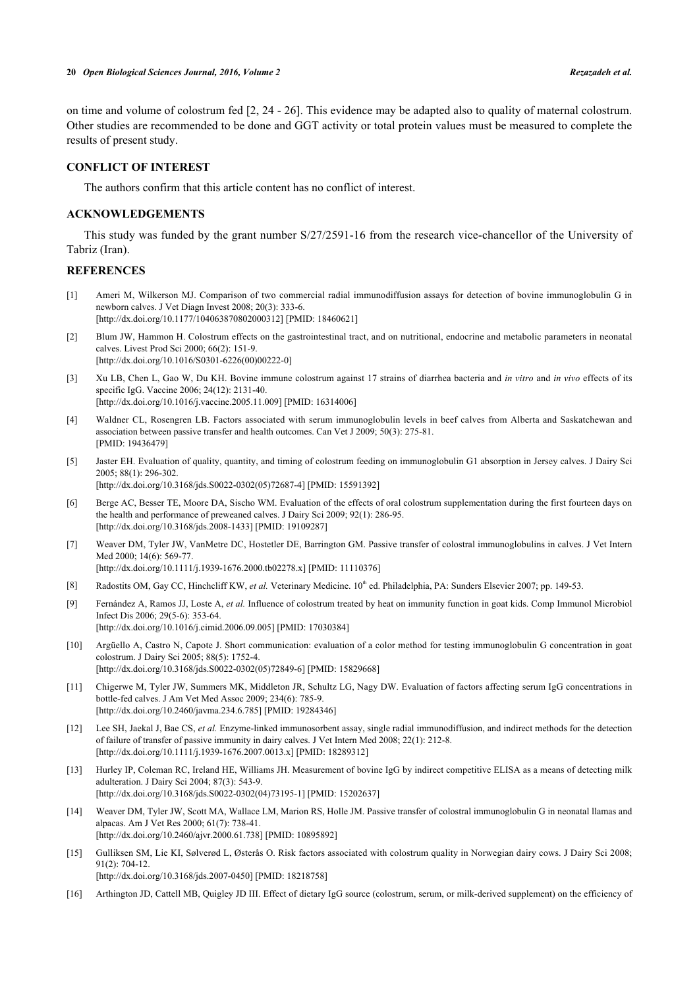on time and volume of colostrum fed [\[2](#page-3-12), [24](#page-4-7) - [26](#page-4-8)]. This evidence may be adapted also to quality of maternal colostrum. Other studies are recommended to be done and GGT activity or total protein values must be measured to complete the results of present study.

### **CONFLICT OF INTEREST**

The authors confirm that this article content has no conflict of interest.

# **ACKNOWLEDGEMENTS**

This study was funded by the grant number S/27/2591-16 from the research vice-chancellor of the University of Tabriz (Iran).

# **REFERENCES**

- <span id="page-3-0"></span>[1] Ameri M, Wilkerson MJ. Comparison of two commercial radial immunodiffusion assays for detection of bovine immunoglobulin G in newborn calves. J Vet Diagn Invest 2008; 20(3): 333-6. [\[http://dx.doi.org/10.1177/104063870802000312\]](http://dx.doi.org/10.1177/104063870802000312) [PMID: [18460621](http://www.ncbi.nlm.nih.gov/pubmed/18460621)]
- <span id="page-3-12"></span>[2] Blum JW, Hammon H. Colostrum effects on the gastrointestinal tract, and on nutritional, endocrine and metabolic parameters in neonatal calves. Livest Prod Sci 2000; 66(2): 151-9. [\[http://dx.doi.org/10.1016/S0301-6226\(00\)00222-0\]](http://dx.doi.org/10.1016/S0301-6226(00)00222-0)
- [3] Xu LB, Chen L, Gao W, Du KH. Bovine immune colostrum against 17 strains of diarrhea bacteria and *in vitro* and *in vivo* effects of its specific IgG. Vaccine 2006; 24(12): 2131-40. [\[http://dx.doi.org/10.1016/j.vaccine.2005.11.009](http://dx.doi.org/10.1016/j.vaccine.2005.11.009)] [PMID: [16314006](http://www.ncbi.nlm.nih.gov/pubmed/16314006)]
- <span id="page-3-1"></span>[4] Waldner CL, Rosengren LB. Factors associated with serum immunoglobulin levels in beef calves from Alberta and Saskatchewan and association between passive transfer and health outcomes. Can Vet J 2009; 50(3): 275-81. [PMID: [19436479\]](http://www.ncbi.nlm.nih.gov/pubmed/19436479)
- <span id="page-3-2"></span>[5] Jaster EH. Evaluation of quality, quantity, and timing of colostrum feeding on immunoglobulin G1 absorption in Jersey calves. J Dairy Sci 2005; 88(1): 296-302.

[\[http://dx.doi.org/10.3168/jds.S0022-0302\(05\)72687-4](http://dx.doi.org/10.3168/jds.S0022-0302(05)72687-4)] [PMID: [15591392\]](http://www.ncbi.nlm.nih.gov/pubmed/15591392)

- <span id="page-3-3"></span>[6] Berge AC, Besser TE, Moore DA, Sischo WM. Evaluation of the effects of oral colostrum supplementation during the first fourteen days on the health and performance of preweaned calves. J Dairy Sci 2009; 92(1): 286-95. [\[http://dx.doi.org/10.3168/jds.2008-1433\]](http://dx.doi.org/10.3168/jds.2008-1433) [PMID: [19109287](http://www.ncbi.nlm.nih.gov/pubmed/19109287)]
- <span id="page-3-4"></span>[7] Weaver DM, Tyler JW, VanMetre DC, Hostetler DE, Barrington GM. Passive transfer of colostral immunoglobulins in calves. J Vet Intern Med 2000; 14(6): 569-77. [\[http://dx.doi.org/10.1111/j.1939-1676.2000.tb02278.x\]](http://dx.doi.org/10.1111/j.1939-1676.2000.tb02278.x) [PMID: [11110376](http://www.ncbi.nlm.nih.gov/pubmed/11110376)]
- <span id="page-3-5"></span>[8] Radostits OM, Gay CC, Hinchcliff KW, *et al.* Veterinary Medicine. 10<sup>th</sup> ed. Philadelphia, PA: Sunders Elsevier 2007; pp. 149-53.
- <span id="page-3-6"></span>[9] Fernández A, Ramos JJ, Loste A, *et al.* Influence of colostrum treated by heat on immunity function in goat kids. Comp Immunol Microbiol Infect Dis 2006; 29(5-6): 353-64. [\[http://dx.doi.org/10.1016/j.cimid.2006.09.005](http://dx.doi.org/10.1016/j.cimid.2006.09.005)] [PMID: [17030384\]](http://www.ncbi.nlm.nih.gov/pubmed/17030384)
- <span id="page-3-7"></span>[10] Argüello A, Castro N, Capote J. Short communication: evaluation of a color method for testing immunoglobulin G concentration in goat colostrum. J Dairy Sci 2005; 88(5): 1752-4. [\[http://dx.doi.org/10.3168/jds.S0022-0302\(05\)72849-6](http://dx.doi.org/10.3168/jds.S0022-0302(05)72849-6)] [PMID: [15829668\]](http://www.ncbi.nlm.nih.gov/pubmed/15829668)
- <span id="page-3-8"></span>[11] Chigerwe M, Tyler JW, Summers MK, Middleton JR, Schultz LG, Nagy DW. Evaluation of factors affecting serum IgG concentrations in bottle-fed calves. J Am Vet Med Assoc 2009; 234(6): 785-9. [\[http://dx.doi.org/10.2460/javma.234.6.785](http://dx.doi.org/10.2460/javma.234.6.785)] [PMID: [19284346\]](http://www.ncbi.nlm.nih.gov/pubmed/19284346)
- [12] Lee SH, Jaekal J, Bae CS, *et al.* Enzyme-linked immunosorbent assay, single radial immunodiffusion, and indirect methods for the detection of failure of transfer of passive immunity in dairy calves. J Vet Intern Med 2008; 22(1): 212-8. [\[http://dx.doi.org/10.1111/j.1939-1676.2007.0013.x\]](http://dx.doi.org/10.1111/j.1939-1676.2007.0013.x) [PMID: [18289312](http://www.ncbi.nlm.nih.gov/pubmed/18289312)]
- [13] Hurley IP, Coleman RC, Ireland HE, Williams JH. Measurement of bovine IgG by indirect competitive ELISA as a means of detecting milk adulteration. J Dairy Sci 2004; 87(3): 543-9. [\[http://dx.doi.org/10.3168/jds.S0022-0302\(04\)73195-1](http://dx.doi.org/10.3168/jds.S0022-0302(04)73195-1)] [PMID: [15202637\]](http://www.ncbi.nlm.nih.gov/pubmed/15202637)
- <span id="page-3-9"></span>[14] Weaver DM, Tyler JW, Scott MA, Wallace LM, Marion RS, Holle JM. Passive transfer of colostral immunoglobulin G in neonatal llamas and alpacas. Am J Vet Res 2000; 61(7): 738-41. [\[http://dx.doi.org/10.2460/ajvr.2000.61.738](http://dx.doi.org/10.2460/ajvr.2000.61.738)] [PMID: [10895892\]](http://www.ncbi.nlm.nih.gov/pubmed/10895892)
- <span id="page-3-10"></span>[15] Gulliksen SM, Lie KI, Sølverød L, Østerås O. Risk factors associated with colostrum quality in Norwegian dairy cows. J Dairy Sci 2008; 91(2): 704-12. [\[http://dx.doi.org/10.3168/jds.2007-0450\]](http://dx.doi.org/10.3168/jds.2007-0450) [PMID: [18218758](http://www.ncbi.nlm.nih.gov/pubmed/18218758)]
- <span id="page-3-11"></span>[16] Arthington JD, Cattell MB, Quigley JD III. Effect of dietary IgG source (colostrum, serum, or milk-derived supplement) on the efficiency of